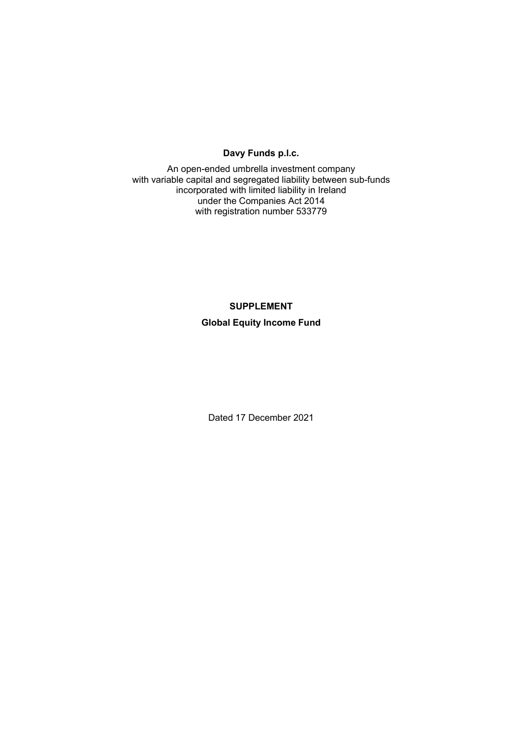### **Davy Funds p.l.c.**

An open-ended umbrella investment company with variable capital and segregated liability between sub-funds incorporated with limited liability in Ireland under the Companies Act 2014 with registration number 533779

## **SUPPLEMENT**

## **Global Equity Income Fund**

Dated 17 December 2021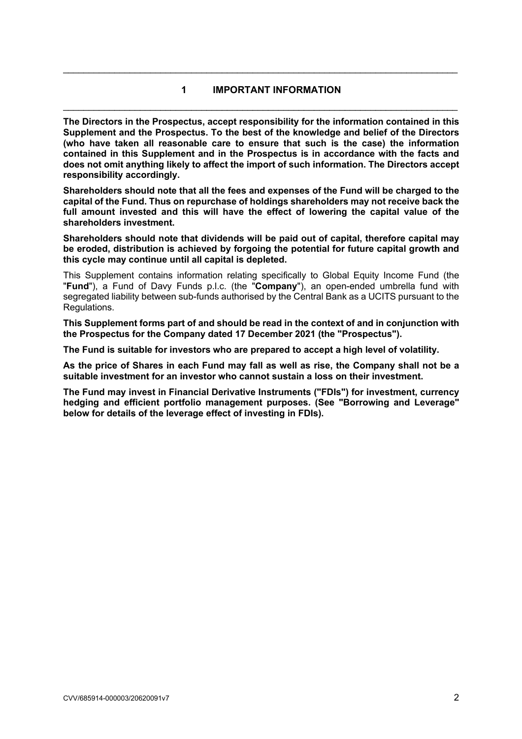## **1 IMPORTANT INFORMATION**  \_\_\_\_\_\_\_\_\_\_\_\_\_\_\_\_\_\_\_\_\_\_\_\_\_\_\_\_\_\_\_\_\_\_\_\_\_\_\_\_\_\_\_\_\_\_\_\_\_\_\_\_\_\_\_\_\_\_\_\_\_\_\_\_\_\_\_\_\_\_\_\_\_\_\_\_\_

\_\_\_\_\_\_\_\_\_\_\_\_\_\_\_\_\_\_\_\_\_\_\_\_\_\_\_\_\_\_\_\_\_\_\_\_\_\_\_\_\_\_\_\_\_\_\_\_\_\_\_\_\_\_\_\_\_\_\_\_\_\_\_\_\_\_\_\_\_\_\_\_\_\_\_\_\_

**The Directors in the Prospectus, accept responsibility for the information contained in this Supplement and the Prospectus. To the best of the knowledge and belief of the Directors (who have taken all reasonable care to ensure that such is the case) the information contained in this Supplement and in the Prospectus is in accordance with the facts and does not omit anything likely to affect the import of such information. The Directors accept responsibility accordingly.** 

**Shareholders should note that all the fees and expenses of the Fund will be charged to the capital of the Fund. Thus on repurchase of holdings shareholders may not receive back the full amount invested and this will have the effect of lowering the capital value of the shareholders investment.** 

**Shareholders should note that dividends will be paid out of capital, therefore capital may be eroded, distribution is achieved by forgoing the potential for future capital growth and this cycle may continue until all capital is depleted.** 

This Supplement contains information relating specifically to Global Equity Income Fund (the "**Fund**"), a Fund of Davy Funds p.l.c. (the "**Company**"), an open-ended umbrella fund with segregated liability between sub-funds authorised by the Central Bank as a UCITS pursuant to the Regulations.

**This Supplement forms part of and should be read in the context of and in conjunction with the Prospectus for the Company dated 17 December 2021 (the "Prospectus").** 

**The Fund is suitable for investors who are prepared to accept a high level of volatility.** 

**As the price of Shares in each Fund may fall as well as rise, the Company shall not be a suitable investment for an investor who cannot sustain a loss on their investment.** 

**The Fund may invest in Financial Derivative Instruments ("FDIs") for investment, currency hedging and efficient portfolio management purposes. (See "Borrowing and Leverage" below for details of the leverage effect of investing in FDIs).**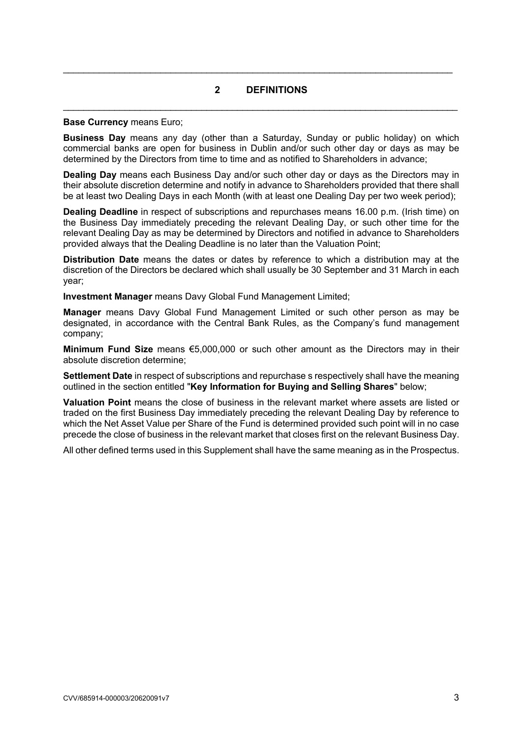## **2 DEFINITIONS**  \_\_\_\_\_\_\_\_\_\_\_\_\_\_\_\_\_\_\_\_\_\_\_\_\_\_\_\_\_\_\_\_\_\_\_\_\_\_\_\_\_\_\_\_\_\_\_\_\_\_\_\_\_\_\_\_\_\_\_\_\_\_\_\_\_\_\_\_\_\_\_\_\_\_\_\_\_

 $\mathcal{L}_\mathcal{L} = \mathcal{L}_\mathcal{L} = \mathcal{L}_\mathcal{L} = \mathcal{L}_\mathcal{L} = \mathcal{L}_\mathcal{L} = \mathcal{L}_\mathcal{L} = \mathcal{L}_\mathcal{L} = \mathcal{L}_\mathcal{L} = \mathcal{L}_\mathcal{L} = \mathcal{L}_\mathcal{L} = \mathcal{L}_\mathcal{L} = \mathcal{L}_\mathcal{L} = \mathcal{L}_\mathcal{L} = \mathcal{L}_\mathcal{L} = \mathcal{L}_\mathcal{L} = \mathcal{L}_\mathcal{L} = \mathcal{L}_\mathcal{L}$ 

#### **Base Currency** means Euro;

**Business Day** means any day (other than a Saturday, Sunday or public holiday) on which commercial banks are open for business in Dublin and/or such other day or days as may be determined by the Directors from time to time and as notified to Shareholders in advance;

**Dealing Day** means each Business Day and/or such other day or days as the Directors may in their absolute discretion determine and notify in advance to Shareholders provided that there shall be at least two Dealing Days in each Month (with at least one Dealing Day per two week period);

**Dealing Deadline** in respect of subscriptions and repurchases means 16.00 p.m. (Irish time) on the Business Day immediately preceding the relevant Dealing Day, or such other time for the relevant Dealing Day as may be determined by Directors and notified in advance to Shareholders provided always that the Dealing Deadline is no later than the Valuation Point;

**Distribution Date** means the dates or dates by reference to which a distribution may at the discretion of the Directors be declared which shall usually be 30 September and 31 March in each year;

**Investment Manager** means Davy Global Fund Management Limited;

**Manager** means Davy Global Fund Management Limited or such other person as may be designated, in accordance with the Central Bank Rules, as the Company's fund management company;

**Minimum Fund Size** means €5,000,000 or such other amount as the Directors may in their absolute discretion determine;

**Settlement Date** in respect of subscriptions and repurchase s respectively shall have the meaning outlined in the section entitled "**Key Information for Buying and Selling Shares**" below;

**Valuation Point** means the close of business in the relevant market where assets are listed or traded on the first Business Day immediately preceding the relevant Dealing Day by reference to which the Net Asset Value per Share of the Fund is determined provided such point will in no case precede the close of business in the relevant market that closes first on the relevant Business Day.

All other defined terms used in this Supplement shall have the same meaning as in the Prospectus.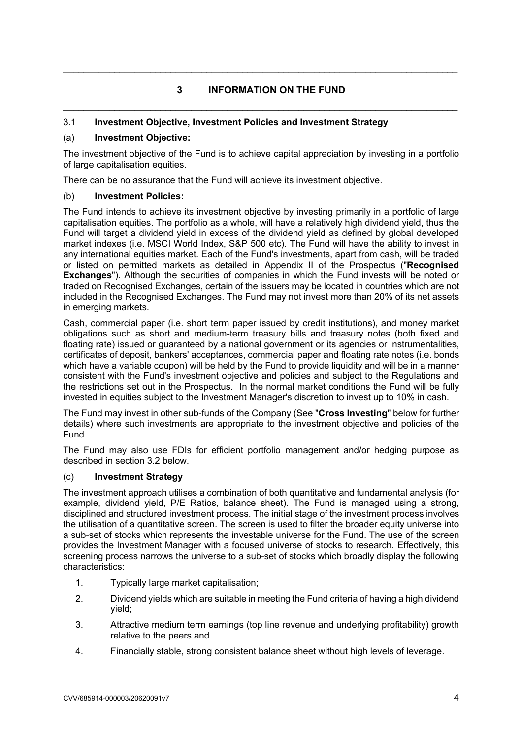# **3 INFORMATION ON THE FUND**  \_\_\_\_\_\_\_\_\_\_\_\_\_\_\_\_\_\_\_\_\_\_\_\_\_\_\_\_\_\_\_\_\_\_\_\_\_\_\_\_\_\_\_\_\_\_\_\_\_\_\_\_\_\_\_\_\_\_\_\_\_\_\_\_\_\_\_\_\_\_\_\_\_\_\_\_\_

\_\_\_\_\_\_\_\_\_\_\_\_\_\_\_\_\_\_\_\_\_\_\_\_\_\_\_\_\_\_\_\_\_\_\_\_\_\_\_\_\_\_\_\_\_\_\_\_\_\_\_\_\_\_\_\_\_\_\_\_\_\_\_\_\_\_\_\_\_\_\_\_\_\_\_\_\_

## 3.1 **Investment Objective, Investment Policies and Investment Strategy**

#### (a) **Investment Objective:**

The investment objective of the Fund is to achieve capital appreciation by investing in a portfolio of large capitalisation equities.

There can be no assurance that the Fund will achieve its investment objective.

#### (b) **Investment Policies:**

The Fund intends to achieve its investment objective by investing primarily in a portfolio of large capitalisation equities. The portfolio as a whole, will have a relatively high dividend yield, thus the Fund will target a dividend yield in excess of the dividend yield as defined by global developed market indexes (i.e. MSCI World Index, S&P 500 etc). The Fund will have the ability to invest in any international equities market. Each of the Fund's investments, apart from cash, will be traded or listed on permitted markets as detailed in Appendix II of the Prospectus ("**Recognised Exchanges**"). Although the securities of companies in which the Fund invests will be noted or traded on Recognised Exchanges, certain of the issuers may be located in countries which are not included in the Recognised Exchanges. The Fund may not invest more than 20% of its net assets in emerging markets.

Cash, commercial paper (i.e. short term paper issued by credit institutions), and money market obligations such as short and medium-term treasury bills and treasury notes (both fixed and floating rate) issued or guaranteed by a national government or its agencies or instrumentalities, certificates of deposit, bankers' acceptances, commercial paper and floating rate notes (i.e. bonds which have a variable coupon) will be held by the Fund to provide liquidity and will be in a manner consistent with the Fund's investment objective and policies and subject to the Regulations and the restrictions set out in the Prospectus. In the normal market conditions the Fund will be fully invested in equities subject to the Investment Manager's discretion to invest up to 10% in cash.

The Fund may invest in other sub-funds of the Company (See "**Cross Investing**" below for further details) where such investments are appropriate to the investment objective and policies of the Fund.

The Fund may also use FDIs for efficient portfolio management and/or hedging purpose as described in section 3.2 below.

## (c) **Investment Strategy**

The investment approach utilises a combination of both quantitative and fundamental analysis (for example, dividend yield, P/E Ratios, balance sheet). The Fund is managed using a strong, disciplined and structured investment process. The initial stage of the investment process involves the utilisation of a quantitative screen. The screen is used to filter the broader equity universe into a sub-set of stocks which represents the investable universe for the Fund. The use of the screen provides the Investment Manager with a focused universe of stocks to research. Effectively, this screening process narrows the universe to a sub-set of stocks which broadly display the following characteristics:

- 1. Typically large market capitalisation;
- 2. Dividend yields which are suitable in meeting the Fund criteria of having a high dividend yield;
- 3. Attractive medium term earnings (top line revenue and underlying profitability) growth relative to the peers and
- 4. Financially stable, strong consistent balance sheet without high levels of leverage.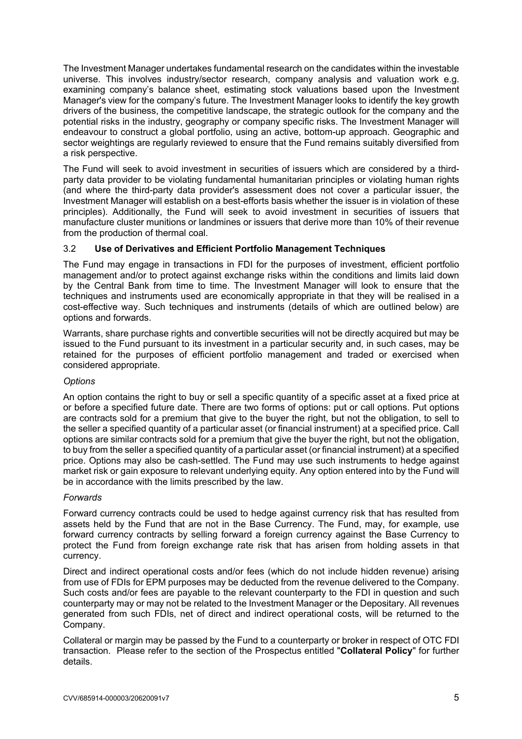The Investment Manager undertakes fundamental research on the candidates within the investable universe. This involves industry/sector research, company analysis and valuation work e.g. examining company's balance sheet, estimating stock valuations based upon the Investment Manager's view for the company's future. The Investment Manager looks to identify the key growth drivers of the business, the competitive landscape, the strategic outlook for the company and the potential risks in the industry, geography or company specific risks. The Investment Manager will endeavour to construct a global portfolio, using an active, bottom-up approach. Geographic and sector weightings are regularly reviewed to ensure that the Fund remains suitably diversified from a risk perspective.

The Fund will seek to avoid investment in securities of issuers which are considered by a thirdparty data provider to be violating fundamental humanitarian principles or violating human rights (and where the third-party data provider's assessment does not cover a particular issuer, the Investment Manager will establish on a best-efforts basis whether the issuer is in violation of these principles). Additionally, the Fund will seek to avoid investment in securities of issuers that manufacture cluster munitions or landmines or issuers that derive more than 10% of their revenue from the production of thermal coal.

## 3.2 **Use of Derivatives and Efficient Portfolio Management Techniques**

The Fund may engage in transactions in FDI for the purposes of investment, efficient portfolio management and/or to protect against exchange risks within the conditions and limits laid down by the Central Bank from time to time. The Investment Manager will look to ensure that the techniques and instruments used are economically appropriate in that they will be realised in a cost-effective way. Such techniques and instruments (details of which are outlined below) are options and forwards.

Warrants, share purchase rights and convertible securities will not be directly acquired but may be issued to the Fund pursuant to its investment in a particular security and, in such cases, may be retained for the purposes of efficient portfolio management and traded or exercised when considered appropriate.

#### *Options*

An option contains the right to buy or sell a specific quantity of a specific asset at a fixed price at or before a specified future date. There are two forms of options: put or call options. Put options are contracts sold for a premium that give to the buyer the right, but not the obligation, to sell to the seller a specified quantity of a particular asset (or financial instrument) at a specified price. Call options are similar contracts sold for a premium that give the buyer the right, but not the obligation, to buy from the seller a specified quantity of a particular asset (or financial instrument) at a specified price. Options may also be cash-settled. The Fund may use such instruments to hedge against market risk or gain exposure to relevant underlying equity. Any option entered into by the Fund will be in accordance with the limits prescribed by the law.

#### *Forwards*

Forward currency contracts could be used to hedge against currency risk that has resulted from assets held by the Fund that are not in the Base Currency. The Fund, may, for example, use forward currency contracts by selling forward a foreign currency against the Base Currency to protect the Fund from foreign exchange rate risk that has arisen from holding assets in that currency.

Direct and indirect operational costs and/or fees (which do not include hidden revenue) arising from use of FDIs for EPM purposes may be deducted from the revenue delivered to the Company. Such costs and/or fees are payable to the relevant counterparty to the FDI in question and such counterparty may or may not be related to the Investment Manager or the Depositary. All revenues generated from such FDIs, net of direct and indirect operational costs, will be returned to the Company.

Collateral or margin may be passed by the Fund to a counterparty or broker in respect of OTC FDI transaction. Please refer to the section of the Prospectus entitled "**Collateral Policy**" for further details.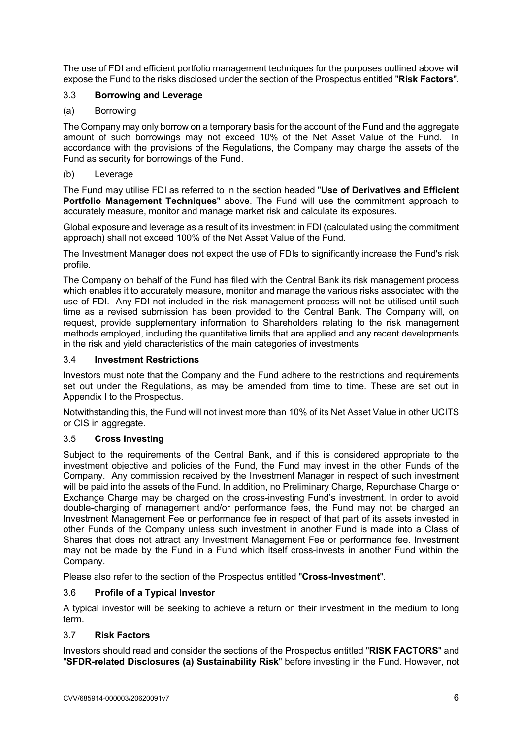The use of FDI and efficient portfolio management techniques for the purposes outlined above will expose the Fund to the risks disclosed under the section of the Prospectus entitled "**Risk Factors**".

## 3.3 **Borrowing and Leverage**

## (a) Borrowing

The Company may only borrow on a temporary basis for the account of the Fund and the aggregate amount of such borrowings may not exceed 10% of the Net Asset Value of the Fund. In accordance with the provisions of the Regulations, the Company may charge the assets of the Fund as security for borrowings of the Fund.

## (b) Leverage

The Fund may utilise FDI as referred to in the section headed "**Use of Derivatives and Efficient Portfolio Management Techniques**" above. The Fund will use the commitment approach to accurately measure, monitor and manage market risk and calculate its exposures.

Global exposure and leverage as a result of its investment in FDI (calculated using the commitment approach) shall not exceed 100% of the Net Asset Value of the Fund.

The Investment Manager does not expect the use of FDIs to significantly increase the Fund's risk profile.

The Company on behalf of the Fund has filed with the Central Bank its risk management process which enables it to accurately measure, monitor and manage the various risks associated with the use of FDI. Any FDI not included in the risk management process will not be utilised until such time as a revised submission has been provided to the Central Bank. The Company will, on request, provide supplementary information to Shareholders relating to the risk management methods employed, including the quantitative limits that are applied and any recent developments in the risk and yield characteristics of the main categories of investments

#### 3.4 **Investment Restrictions**

Investors must note that the Company and the Fund adhere to the restrictions and requirements set out under the Regulations, as may be amended from time to time. These are set out in Appendix I to the Prospectus.

Notwithstanding this, the Fund will not invest more than 10% of its Net Asset Value in other UCITS or CIS in aggregate.

#### 3.5 **Cross Investing**

Subject to the requirements of the Central Bank, and if this is considered appropriate to the investment objective and policies of the Fund, the Fund may invest in the other Funds of the Company. Any commission received by the Investment Manager in respect of such investment will be paid into the assets of the Fund. In addition, no Preliminary Charge, Repurchase Charge or Exchange Charge may be charged on the cross-investing Fund's investment. In order to avoid double-charging of management and/or performance fees, the Fund may not be charged an Investment Management Fee or performance fee in respect of that part of its assets invested in other Funds of the Company unless such investment in another Fund is made into a Class of Shares that does not attract any Investment Management Fee or performance fee. Investment may not be made by the Fund in a Fund which itself cross-invests in another Fund within the Company.

Please also refer to the section of the Prospectus entitled "**Cross-Investment**".

## 3.6 **Profile of a Typical Investor**

A typical investor will be seeking to achieve a return on their investment in the medium to long term.

## 3.7 **Risk Factors**

Investors should read and consider the sections of the Prospectus entitled "**RISK FACTORS**" and "**SFDR-related Disclosures (a) Sustainability Risk**" before investing in the Fund. However, not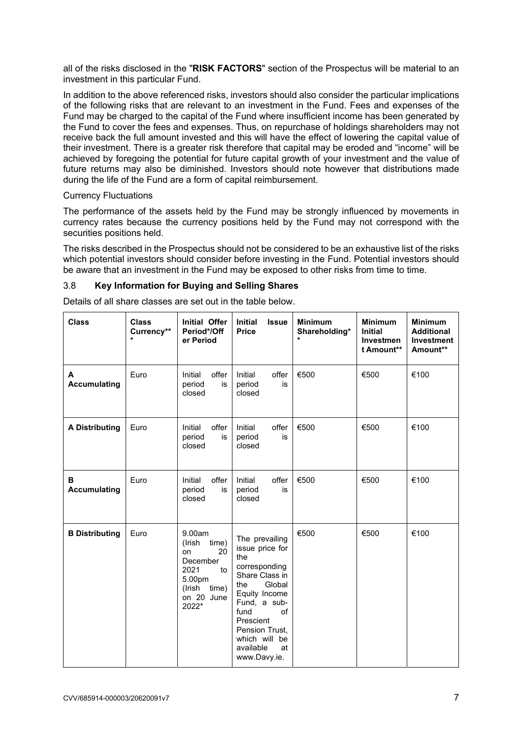all of the risks disclosed in the "**RISK FACTORS**" section of the Prospectus will be material to an investment in this particular Fund.

In addition to the above referenced risks, investors should also consider the particular implications of the following risks that are relevant to an investment in the Fund. Fees and expenses of the Fund may be charged to the capital of the Fund where insufficient income has been generated by the Fund to cover the fees and expenses. Thus, on repurchase of holdings shareholders may not receive back the full amount invested and this will have the effect of lowering the capital value of their investment. There is a greater risk therefore that capital may be eroded and "income" will be achieved by foregoing the potential for future capital growth of your investment and the value of future returns may also be diminished. Investors should note however that distributions made during the life of the Fund are a form of capital reimbursement.

#### Currency Fluctuations

The performance of the assets held by the Fund may be strongly influenced by movements in currency rates because the currency positions held by the Fund may not correspond with the securities positions held.

The risks described in the Prospectus should not be considered to be an exhaustive list of the risks which potential investors should consider before investing in the Fund. Potential investors should be aware that an investment in the Fund may be exposed to other risks from time to time.

#### 3.8 **Key Information for Buying and Selling Shares**

| <b>Class</b>             | <b>Class</b><br>Currency** | <b>Initial Offer</b><br>Period*/Off<br>er Period                                                                    | <b>Initial</b><br><b>Issue</b><br><b>Price</b>                                                                                                                                                                                 | <b>Minimum</b><br>Shareholding* | <b>Minimum</b><br><b>Initial</b><br><b>Investmen</b><br>t Amount** | <b>Minimum</b><br><b>Additional</b><br><b>Investment</b><br>Amount** |
|--------------------------|----------------------------|---------------------------------------------------------------------------------------------------------------------|--------------------------------------------------------------------------------------------------------------------------------------------------------------------------------------------------------------------------------|---------------------------------|--------------------------------------------------------------------|----------------------------------------------------------------------|
| A<br><b>Accumulating</b> | Euro                       | offer<br>Initial<br>period<br>is<br>closed                                                                          | Initial<br>offer<br>is<br>period<br>closed                                                                                                                                                                                     | €500                            | €500                                                               | €100                                                                 |
| <b>A Distributing</b>    | Euro                       | Initial<br>offer<br>period<br>is<br>closed                                                                          | Initial<br>offer<br>period<br>is<br>closed                                                                                                                                                                                     | €500                            | €500                                                               | €100                                                                 |
| В<br><b>Accumulating</b> | Euro                       | offer<br>Initial<br>period<br>is<br>closed                                                                          | Initial<br>offer<br>period<br>is<br>closed                                                                                                                                                                                     | €500                            | €500                                                               | €100                                                                 |
| <b>B Distributing</b>    | Euro                       | 9.00am<br>(Irish<br>time)<br>20<br>on<br>December<br>2021<br>to<br>5.00pm<br>(Irish<br>time)<br>on 20 June<br>2022* | The prevailing<br>issue price for<br>the<br>corresponding<br>Share Class in<br>Global<br>the<br>Equity Income<br>Fund, a sub-<br>fund<br>of<br>Prescient<br>Pension Trust,<br>which will be<br>available<br>at<br>www.Davy.ie. | €500                            | €500                                                               | €100                                                                 |

Details of all share classes are set out in the table below.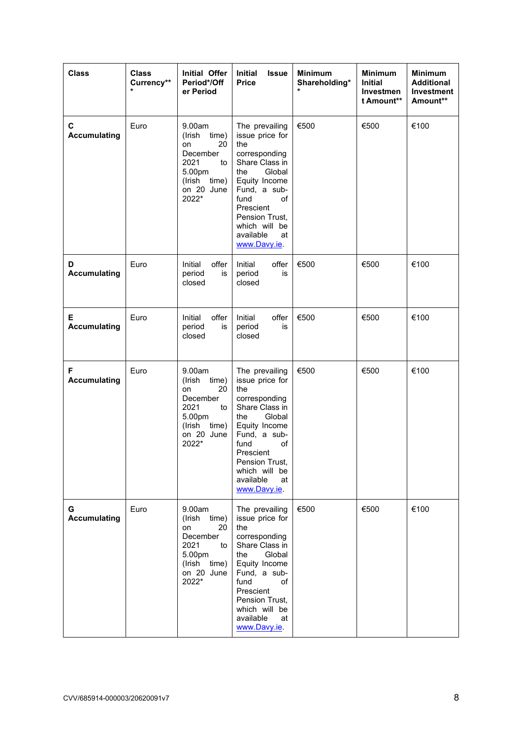| <b>Class</b>             | Class<br>Currency**<br>* | <b>Initial Offer</b><br>Period*/Off<br>er Period                                                                    | <b>Initial</b><br><b>Issue</b><br><b>Price</b>                                                                                                                                                                                 | <b>Minimum</b><br>Shareholding* | <b>Minimum</b><br><b>Initial</b><br>Investmen<br>t Amount** | <b>Minimum</b><br><b>Additional</b><br><b>Investment</b><br>Amount** |
|--------------------------|--------------------------|---------------------------------------------------------------------------------------------------------------------|--------------------------------------------------------------------------------------------------------------------------------------------------------------------------------------------------------------------------------|---------------------------------|-------------------------------------------------------------|----------------------------------------------------------------------|
| С<br><b>Accumulating</b> | Euro                     | 9.00am<br>(Irish<br>time)<br>20<br>on<br>December<br>2021<br>to<br>5.00pm<br>(Irish<br>time)<br>on 20 June<br>2022* | The prevailing<br>issue price for<br>the<br>corresponding<br>Share Class in<br>Global<br>the<br>Equity Income<br>Fund, a sub-<br>fund<br>οf<br>Prescient<br>Pension Trust,<br>which will be<br>available<br>at<br>www.Davy.ie. | €500                            | €500                                                        | €100                                                                 |
| D<br><b>Accumulating</b> | Euro                     | Initial<br>offer<br>period<br>is<br>closed                                                                          | offer<br>Initial<br>period<br>is<br>closed                                                                                                                                                                                     | €500                            | €500                                                        | €100                                                                 |
| Е<br><b>Accumulating</b> | Euro                     | Initial<br>offer<br>period<br>is<br>closed                                                                          | Initial<br>offer<br>period<br>is<br>closed                                                                                                                                                                                     | €500                            | €500                                                        | €100                                                                 |
| F<br><b>Accumulating</b> | Euro                     | 9.00am<br>time)<br>(Irish<br>20<br>on<br>December<br>2021<br>to<br>5.00pm<br>time)<br>(Irish<br>on 20 June<br>2022* | The prevailing<br>issue price for<br>the<br>corresponding<br>Share Class in<br>the<br>Global<br>Equity Income<br>Fund, a sub-<br>fund<br>of<br>Prescient<br>Pension Trust,<br>which will be<br>available<br>at<br>www.Davy.ie. | €500                            | €500                                                        | €100                                                                 |
| G<br><b>Accumulating</b> | Euro                     | 9.00am<br>time)<br>(Irish<br>20<br>on<br>December<br>2021<br>to<br>5.00pm<br>time)<br>(Irish<br>on 20 June<br>2022* | The prevailing<br>issue price for<br>the<br>corresponding<br>Share Class in<br>Global<br>the<br>Equity Income<br>Fund, a sub-<br>fund<br>οf<br>Prescient<br>Pension Trust,<br>which will be<br>available<br>at<br>www.Davy.ie. | €500                            | €500                                                        | €100                                                                 |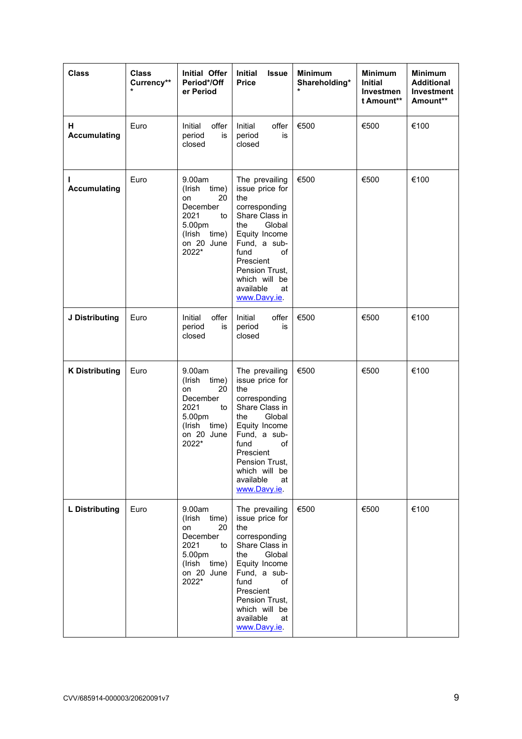| <b>Class</b>             | <b>Class</b><br>Currency**<br>$\star$ | <b>Initial Offer</b><br>Period*/Off<br>er Period                                                                    | <b>Initial</b><br><b>Issue</b><br><b>Price</b>                                                                                                                                                                                 | <b>Minimum</b><br>Shareholding* | <b>Minimum</b><br>Initial<br><b>Investmen</b><br>t Amount** | <b>Minimum</b><br><b>Additional</b><br>Investment<br>Amount** |
|--------------------------|---------------------------------------|---------------------------------------------------------------------------------------------------------------------|--------------------------------------------------------------------------------------------------------------------------------------------------------------------------------------------------------------------------------|---------------------------------|-------------------------------------------------------------|---------------------------------------------------------------|
| н<br><b>Accumulating</b> | Euro                                  | Initial<br>offer<br>period<br>is<br>closed                                                                          | Initial<br>offer<br>period<br>is<br>closed                                                                                                                                                                                     | €500                            | €500                                                        | €100                                                          |
| L<br><b>Accumulating</b> | Euro                                  | 9.00am<br>(Irish<br>time)<br>20<br>on<br>December<br>2021<br>to<br>5.00pm<br>(Irish<br>time)<br>on 20 June<br>2022* | The prevailing<br>issue price for<br>the<br>corresponding<br>Share Class in<br>Global<br>the<br>Equity Income<br>Fund, a sub-<br>fund<br>of<br>Prescient<br>Pension Trust,<br>which will be<br>available<br>at<br>www.Davy.ie. | €500                            | €500                                                        | €100                                                          |
| J Distributing           | Euro                                  | Initial<br>offer<br>period<br>is<br>closed                                                                          | offer<br>Initial<br>period<br>is<br>closed                                                                                                                                                                                     | €500                            | €500                                                        | €100                                                          |
| <b>K Distributing</b>    | Euro                                  | 9.00am<br>(Irish<br>time)<br>20<br>on<br>December<br>2021<br>to<br>5.00pm<br>(Irish<br>time)<br>on 20 June<br>2022* | The prevailing<br>issue price for<br>the<br>corresponding<br>Share Class in<br>Global<br>the<br>Equity Income<br>Fund, a sub-<br>fund<br>of<br>Prescient<br>Pension Trust,<br>which will be<br>available<br>at<br>www.Davy.ie. | €500                            | €500                                                        | €100                                                          |
| <b>L</b> Distributing    | Euro                                  | 9.00am<br>time)<br>(Irish<br>20<br>on<br>December<br>2021<br>to<br>5.00pm<br>(Irish<br>time)<br>on 20 June<br>2022* | The prevailing<br>issue price for<br>the<br>corresponding<br>Share Class in<br>Global<br>the<br>Equity Income<br>Fund, a sub-<br>fund<br>of<br>Prescient<br>Pension Trust,<br>which will be<br>available<br>at<br>www.Davy.ie. | €500                            | €500                                                        | €100                                                          |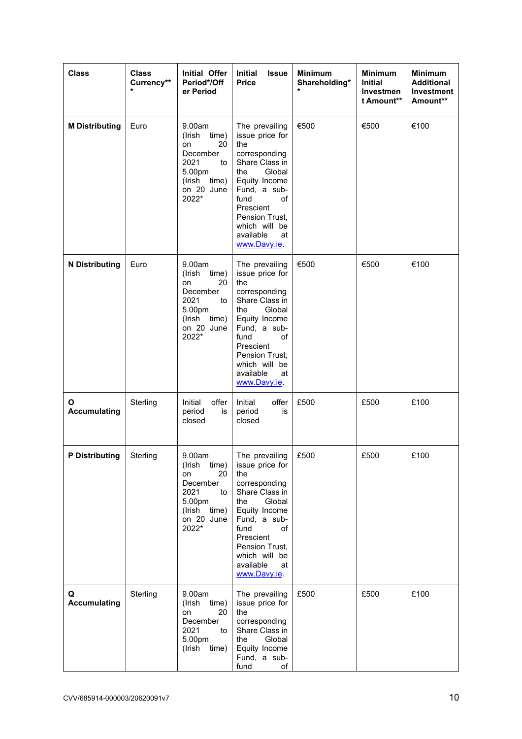| <b>Class</b>             | <b>Class</b><br>Currency**<br>$\star$ | <b>Initial Offer</b><br>Period*/Off<br>er Period                                                                    | <b>Initial</b><br><b>Issue</b><br><b>Price</b>                                                                                                                                                                                 | <b>Minimum</b><br>Shareholding* | <b>Minimum</b><br>Initial<br><b>Investmen</b><br>t Amount** | <b>Minimum</b><br><b>Additional</b><br>Investment<br>Amount** |
|--------------------------|---------------------------------------|---------------------------------------------------------------------------------------------------------------------|--------------------------------------------------------------------------------------------------------------------------------------------------------------------------------------------------------------------------------|---------------------------------|-------------------------------------------------------------|---------------------------------------------------------------|
| <b>M Distributing</b>    | Euro                                  | 9.00am<br>(Irish<br>time)<br>20<br>on<br>December<br>2021<br>to<br>5.00pm<br>(Irish<br>time)<br>on 20 June<br>2022* | The prevailing<br>issue price for<br>the<br>corresponding<br>Share Class in<br>Global<br>the<br>Equity Income<br>Fund, a sub-<br>of<br>fund<br>Prescient<br>Pension Trust,<br>which will be<br>available<br>at<br>www.Davy.ie. | €500                            | €500                                                        | €100                                                          |
| <b>N</b> Distributing    | Euro                                  | 9.00am<br>(Irish<br>time)<br>20<br>on<br>December<br>2021<br>to<br>5.00pm<br>(Irish<br>time)<br>on 20 June<br>2022* | The prevailing<br>issue price for<br>the<br>corresponding<br>Share Class in<br>the<br>Global<br>Equity Income<br>Fund, a sub-<br>fund<br>of<br>Prescient<br>Pension Trust,<br>which will be<br>available<br>at<br>www.Davy.ie. | €500                            | €500                                                        | €100                                                          |
| O<br><b>Accumulating</b> | Sterling                              | Initial<br>offer<br>period<br>is<br>closed                                                                          | Initial<br>offer<br>period<br>is<br>closed                                                                                                                                                                                     | £500                            | £500                                                        | £100                                                          |
| P Distributing           | Sterling                              | 9.00am<br>time)<br>(Irish<br>on<br>20<br>December<br>2021<br>to<br>5.00pm<br>(Irish<br>time)<br>on 20 June<br>2022* | The prevailing<br>issue price for<br>the<br>corresponding<br>Share Class in<br>Global<br>the<br>Equity Income<br>Fund, a sub-<br>fund<br>of<br>Prescient<br>Pension Trust,<br>which will be<br>available<br>at<br>www.Davy.ie. | £500                            | £500                                                        | £100                                                          |
| Q<br><b>Accumulating</b> | Sterling                              | 9.00am<br>time)<br>(Irish<br>20<br>on<br>December<br>2021<br>to<br>5.00pm<br>time)<br>(Irish                        | The prevailing<br>issue price for<br>the<br>corresponding<br>Share Class in<br>Global<br>the<br>Equity Income<br>Fund, a sub-<br>fund<br>of                                                                                    | £500                            | £500                                                        | £100                                                          |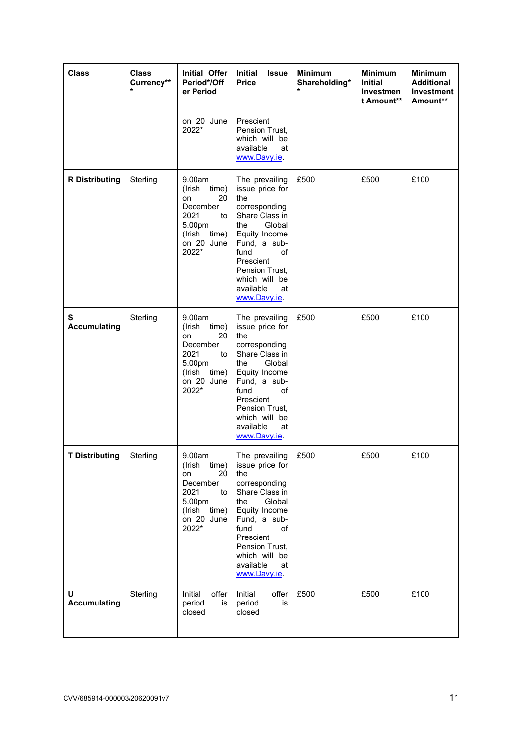| <b>Class</b>             | <b>Class</b><br>Currency**<br>$\star$ | Initial Offer<br>Period*/Off<br>er Period                                                                           | <b>Initial</b><br><b>Issue</b><br><b>Price</b>                                                                                                                                                                                 | <b>Minimum</b><br>Shareholding* | <b>Minimum</b><br>Initial<br><b>Investmen</b><br>t Amount** | <b>Minimum</b><br><b>Additional</b><br>Investment<br>Amount** |
|--------------------------|---------------------------------------|---------------------------------------------------------------------------------------------------------------------|--------------------------------------------------------------------------------------------------------------------------------------------------------------------------------------------------------------------------------|---------------------------------|-------------------------------------------------------------|---------------------------------------------------------------|
|                          |                                       | on 20 June<br>2022*                                                                                                 | Prescient<br>Pension Trust,<br>which will be<br>available<br>at<br>www.Davy.ie.                                                                                                                                                |                                 |                                                             |                                                               |
| <b>R</b> Distributing    | Sterling                              | 9.00am<br>(Irish<br>time)<br>20<br>on<br>December<br>2021<br>to<br>5.00pm<br>(Irish<br>time)<br>on 20 June<br>2022* | The prevailing<br>issue price for<br>the<br>corresponding<br>Share Class in<br>Global<br>the<br>Equity Income<br>Fund, a sub-<br>fund<br>of<br>Prescient<br>Pension Trust,<br>which will be<br>available<br>at<br>www.Davy.ie. | £500                            | £500                                                        | £100                                                          |
| S<br><b>Accumulating</b> | Sterling                              | 9.00am<br>(Irish<br>time)<br>20<br>on<br>December<br>2021<br>to<br>5.00pm<br>(Irish<br>time)<br>on 20 June<br>2022* | The prevailing<br>issue price for<br>the<br>corresponding<br>Share Class in<br>Global<br>the<br>Equity Income<br>Fund, a sub-<br>fund<br>of<br>Prescient<br>Pension Trust,<br>which will be<br>available<br>at<br>www.Davy.ie. | £500                            | £500                                                        | £100                                                          |
| <b>T Distributing</b>    | Sterling                              | 9.00am<br>(Irish<br>time)<br>on<br>20<br>December<br>2021<br>to<br>5.00pm<br>(Irish<br>time)<br>on 20 June<br>2022* | The prevailing<br>issue price for<br>the<br>corresponding<br>Share Class in<br>Global<br>the<br>Equity Income<br>Fund, a sub-<br>fund<br>of<br>Prescient<br>Pension Trust,<br>which will be<br>available<br>at<br>www.Davy.ie. | £500                            | £500                                                        | £100                                                          |
| U<br><b>Accumulating</b> | Sterling                              | Initial<br>offer<br>period<br>is<br>closed                                                                          | Initial<br>offer<br>period<br>is<br>closed                                                                                                                                                                                     | £500                            | £500                                                        | £100                                                          |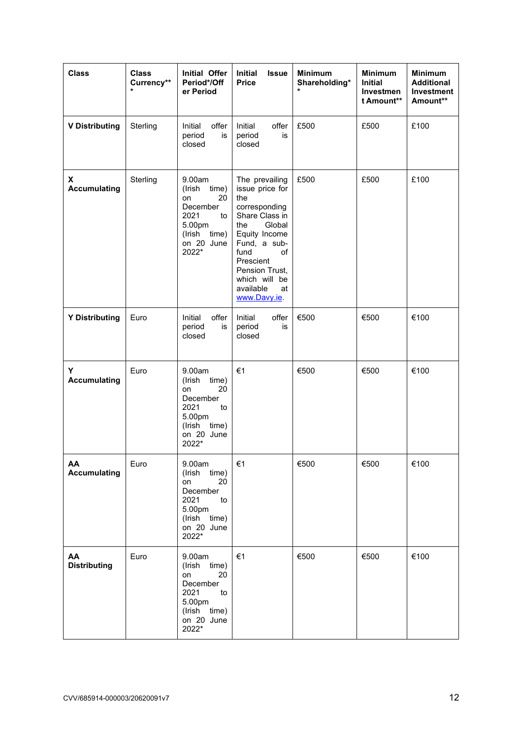| <b>Class</b>              | <b>Class</b><br>Currency**<br>* | Initial Offer<br>Period*/Off<br>er Period                                                                           | <b>Initial</b><br><b>Issue</b><br><b>Price</b>                                                                                                                                                                                 | <b>Minimum</b><br>Shareholding* | <b>Minimum</b><br>Initial<br>Investmen<br>t Amount** | <b>Minimum</b><br><b>Additional</b><br><b>Investment</b><br>Amount** |
|---------------------------|---------------------------------|---------------------------------------------------------------------------------------------------------------------|--------------------------------------------------------------------------------------------------------------------------------------------------------------------------------------------------------------------------------|---------------------------------|------------------------------------------------------|----------------------------------------------------------------------|
| <b>V Distributing</b>     | Sterling                        | offer<br>Initial<br>period<br>is<br>closed                                                                          | Initial<br>offer<br>period<br>is<br>closed                                                                                                                                                                                     | £500                            | £500                                                 | £100                                                                 |
| X<br><b>Accumulating</b>  | Sterling                        | 9.00am<br>(Irish<br>time)<br>20<br>on<br>December<br>2021<br>to<br>5.00pm<br>(Irish<br>time)<br>on 20 June<br>2022* | The prevailing<br>issue price for<br>the<br>corresponding<br>Share Class in<br>Global<br>the<br>Equity Income<br>Fund, a sub-<br>fund<br>of<br>Prescient<br>Pension Trust,<br>which will be<br>available<br>at<br>www.Davy.ie. | £500                            | £500                                                 | £100                                                                 |
| <b>Y Distributing</b>     | Euro                            | offer<br>Initial<br>period<br>is<br>closed                                                                          | offer<br>Initial<br>period<br>is<br>closed                                                                                                                                                                                     | €500                            | €500                                                 | €100                                                                 |
| Y<br><b>Accumulating</b>  | Euro                            | 9.00am<br>(Irish<br>time)<br>20<br>on<br>December<br>2021<br>to<br>5.00pm<br>(Irish<br>time)<br>on 20 June<br>2022* | €1                                                                                                                                                                                                                             | €500                            | €500                                                 | €100                                                                 |
| AA<br><b>Accumulating</b> | Euro                            | 9.00am<br>(Irish time)<br>20<br>on<br>December<br>2021<br>to<br>5.00pm<br>(Irish time)<br>on 20 June<br>2022*       | €1                                                                                                                                                                                                                             | €500                            | €500                                                 | €100                                                                 |
| AA<br><b>Distributing</b> | Euro                            | 9.00am<br>(Irish time)<br>20<br>on<br>December<br>2021<br>to<br>5.00pm<br>(Irish time)<br>on 20 June<br>2022*       | €1                                                                                                                                                                                                                             | €500                            | €500                                                 | €100                                                                 |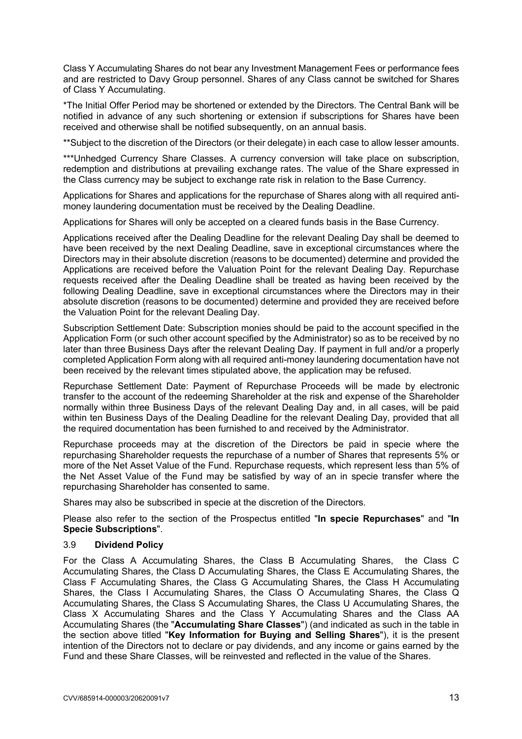Class Y Accumulating Shares do not bear any Investment Management Fees or performance fees and are restricted to Davy Group personnel. Shares of any Class cannot be switched for Shares of Class Y Accumulating.

\*The Initial Offer Period may be shortened or extended by the Directors. The Central Bank will be notified in advance of any such shortening or extension if subscriptions for Shares have been received and otherwise shall be notified subsequently, on an annual basis.

\*\*Subject to the discretion of the Directors (or their delegate) in each case to allow lesser amounts.

\*\*\*Unhedged Currency Share Classes. A currency conversion will take place on subscription, redemption and distributions at prevailing exchange rates. The value of the Share expressed in the Class currency may be subject to exchange rate risk in relation to the Base Currency.

Applications for Shares and applications for the repurchase of Shares along with all required antimoney laundering documentation must be received by the Dealing Deadline.

Applications for Shares will only be accepted on a cleared funds basis in the Base Currency.

Applications received after the Dealing Deadline for the relevant Dealing Day shall be deemed to have been received by the next Dealing Deadline, save in exceptional circumstances where the Directors may in their absolute discretion (reasons to be documented) determine and provided the Applications are received before the Valuation Point for the relevant Dealing Day. Repurchase requests received after the Dealing Deadline shall be treated as having been received by the following Dealing Deadline, save in exceptional circumstances where the Directors may in their absolute discretion (reasons to be documented) determine and provided they are received before the Valuation Point for the relevant Dealing Day.

Subscription Settlement Date: Subscription monies should be paid to the account specified in the Application Form (or such other account specified by the Administrator) so as to be received by no later than three Business Days after the relevant Dealing Day. If payment in full and/or a properly completed Application Form along with all required anti-money laundering documentation have not been received by the relevant times stipulated above, the application may be refused.

Repurchase Settlement Date: Payment of Repurchase Proceeds will be made by electronic transfer to the account of the redeeming Shareholder at the risk and expense of the Shareholder normally within three Business Days of the relevant Dealing Day and, in all cases, will be paid within ten Business Days of the Dealing Deadline for the relevant Dealing Day, provided that all the required documentation has been furnished to and received by the Administrator.

Repurchase proceeds may at the discretion of the Directors be paid in specie where the repurchasing Shareholder requests the repurchase of a number of Shares that represents 5% or more of the Net Asset Value of the Fund. Repurchase requests, which represent less than 5% of the Net Asset Value of the Fund may be satisfied by way of an in specie transfer where the repurchasing Shareholder has consented to same.

Shares may also be subscribed in specie at the discretion of the Directors.

Please also refer to the section of the Prospectus entitled "**In specie Repurchases**" and "**In Specie Subscriptions**".

#### 3.9 **Dividend Policy**

For the Class A Accumulating Shares, the Class B Accumulating Shares, the Class C Accumulating Shares, the Class D Accumulating Shares, the Class E Accumulating Shares, the Class F Accumulating Shares, the Class G Accumulating Shares, the Class H Accumulating Shares, the Class I Accumulating Shares, the Class O Accumulating Shares, the Class Q Accumulating Shares, the Class S Accumulating Shares, the Class U Accumulating Shares, the Class X Accumulating Shares and the Class Y Accumulating Shares and the Class AA Accumulating Shares (the "**Accumulating Share Classes**") (and indicated as such in the table in the section above titled "**Key Information for Buying and Selling Shares**"), it is the present intention of the Directors not to declare or pay dividends, and any income or gains earned by the Fund and these Share Classes, will be reinvested and reflected in the value of the Shares.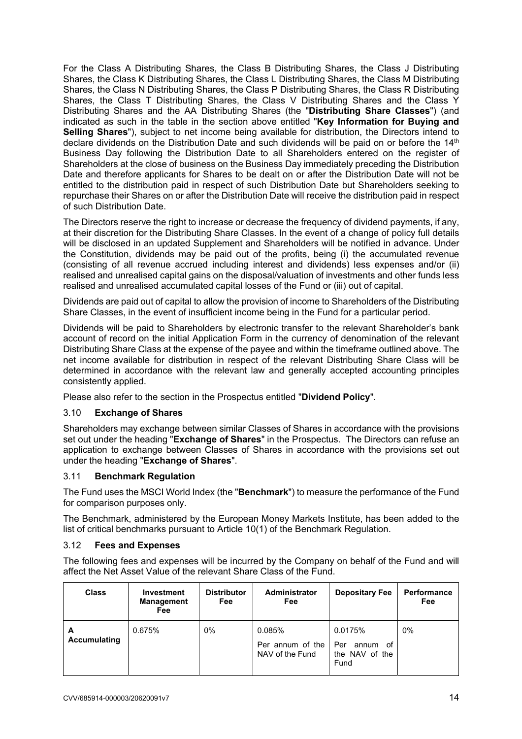For the Class A Distributing Shares, the Class B Distributing Shares, the Class J Distributing Shares, the Class K Distributing Shares, the Class L Distributing Shares, the Class M Distributing Shares, the Class N Distributing Shares, the Class P Distributing Shares, the Class R Distributing Shares, the Class T Distributing Shares, the Class V Distributing Shares and the Class Y Distributing Shares and the AA Distributing Shares (the "**Distributing Share Classes**") (and indicated as such in the table in the section above entitled "**Key Information for Buying and Selling Shares**"), subject to net income being available for distribution, the Directors intend to declare dividends on the Distribution Date and such dividends will be paid on or before the 14<sup>th</sup> Business Day following the Distribution Date to all Shareholders entered on the register of Shareholders at the close of business on the Business Day immediately preceding the Distribution Date and therefore applicants for Shares to be dealt on or after the Distribution Date will not be entitled to the distribution paid in respect of such Distribution Date but Shareholders seeking to repurchase their Shares on or after the Distribution Date will receive the distribution paid in respect of such Distribution Date.

The Directors reserve the right to increase or decrease the frequency of dividend payments, if any, at their discretion for the Distributing Share Classes. In the event of a change of policy full details will be disclosed in an updated Supplement and Shareholders will be notified in advance. Under the Constitution, dividends may be paid out of the profits, being (i) the accumulated revenue (consisting of all revenue accrued including interest and dividends) less expenses and/or (ii) realised and unrealised capital gains on the disposal/valuation of investments and other funds less realised and unrealised accumulated capital losses of the Fund or (iii) out of capital.

Dividends are paid out of capital to allow the provision of income to Shareholders of the Distributing Share Classes, in the event of insufficient income being in the Fund for a particular period.

Dividends will be paid to Shareholders by electronic transfer to the relevant Shareholder's bank account of record on the initial Application Form in the currency of denomination of the relevant Distributing Share Class at the expense of the payee and within the timeframe outlined above. The net income available for distribution in respect of the relevant Distributing Share Class will be determined in accordance with the relevant law and generally accepted accounting principles consistently applied.

Please also refer to the section in the Prospectus entitled "**Dividend Policy**".

#### 3.10 **Exchange of Shares**

Shareholders may exchange between similar Classes of Shares in accordance with the provisions set out under the heading "**Exchange of Shares**" in the Prospectus. The Directors can refuse an application to exchange between Classes of Shares in accordance with the provisions set out under the heading "**Exchange of Shares**".

#### 3.11 **Benchmark Regulation**

The Fund uses the MSCI World Index (the "**Benchmark**") to measure the performance of the Fund for comparison purposes only.

The Benchmark, administered by the European Money Markets Institute, has been added to the list of critical benchmarks pursuant to Article 10(1) of the Benchmark Regulation.

## 3.12 **Fees and Expenses**

The following fees and expenses will be incurred by the Company on behalf of the Fund and will affect the Net Asset Value of the relevant Share Class of the Fund.

| <b>Class</b>             | Investment<br><b>Management</b><br>Fee | <b>Distributor</b><br>Fee | Administrator<br><b>Fee</b>                   | <b>Depositary Fee</b>                                   | <b>Performance</b><br>Fee |
|--------------------------|----------------------------------------|---------------------------|-----------------------------------------------|---------------------------------------------------------|---------------------------|
| А<br><b>Accumulating</b> | 0.675%                                 | $0\%$                     | 0.085%<br>Per annum of the<br>NAV of the Fund | 0.0175%<br>Per<br>0f<br>annum<br>the NAV of the<br>Fund | $0\%$                     |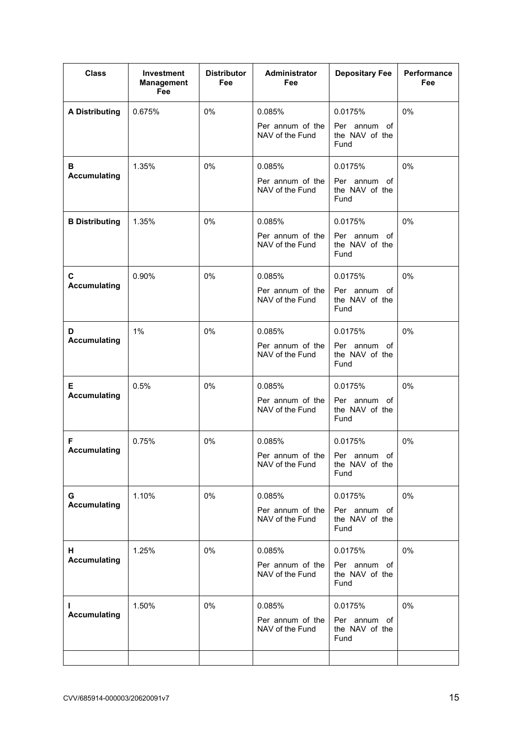| <b>Class</b>          | <b>Investment</b><br><b>Management</b><br>Fee | <b>Distributor</b><br>Fee | Administrator<br>Fee                               | <b>Depositary Fee</b>                  | Performance<br>Fee |
|-----------------------|-----------------------------------------------|---------------------------|----------------------------------------------------|----------------------------------------|--------------------|
| <b>A Distributing</b> | 0.675%                                        | 0%                        | 0.085%                                             | 0.0175%                                | 0%                 |
|                       |                                               |                           | Per annum of the<br>NAV of the Fund                | Per annum of<br>the NAV of the<br>Fund |                    |
| в                     | 1.35%                                         | 0%                        | 0.085%                                             | 0.0175%                                | $0\%$              |
| <b>Accumulating</b>   |                                               |                           | Per annum of the<br>NAV of the Fund                | Per annum of<br>the NAV of the<br>Fund |                    |
| <b>B Distributing</b> | 1.35%                                         | 0%                        | 0.085%                                             | 0.0175%                                | $0\%$              |
|                       |                                               |                           | Per annum of the<br>NAV of the Fund                | Per annum of<br>the NAV of the<br>Fund |                    |
| C                     | 0.90%                                         | 0%                        | 0.085%                                             | 0.0175%                                | 0%                 |
| <b>Accumulating</b>   |                                               |                           | Per annum of the<br>NAV of the Fund                | Per annum of<br>the NAV of the<br>Fund |                    |
| D                     | 1%                                            | 0%                        | 0.085%                                             | 0.0175%                                | $0\%$              |
| <b>Accumulating</b>   |                                               |                           | Per annum of the<br>NAV of the Fund                | Per annum of<br>the NAV of the<br>Fund |                    |
| Е                     | 0.5%                                          | 0%                        | 0.085%                                             | 0.0175%                                | $0\%$              |
| <b>Accumulating</b>   |                                               |                           | Per annum of the<br>NAV of the Fund                | Per annum of<br>the NAV of the<br>Fund |                    |
| F                     | 0.75%                                         | 0%                        | 0.085%                                             | 0.0175%                                | 0%                 |
| <b>Accumulating</b>   |                                               |                           | Per annum of the I Per annum of<br>NAV of the Fund | the NAV of the<br>Fund                 |                    |
| G                     | 1.10%                                         | 0%                        | 0.085%                                             | 0.0175%                                | 0%                 |
| <b>Accumulating</b>   |                                               |                           | Per annum of the<br>NAV of the Fund                | Per annum of<br>the NAV of the<br>Fund |                    |
| Н.                    | 1.25%                                         | 0%                        | 0.085%                                             | 0.0175%                                | 0%                 |
| <b>Accumulating</b>   |                                               |                           | Per annum of the<br>NAV of the Fund                | Per annum of<br>the NAV of the<br>Fund |                    |
| L                     | 1.50%                                         | 0%                        | 0.085%                                             | 0.0175%                                | $0\%$              |
| <b>Accumulating</b>   |                                               |                           | Per annum of the<br>NAV of the Fund                | Per annum of<br>the NAV of the<br>Fund |                    |
|                       |                                               |                           |                                                    |                                        |                    |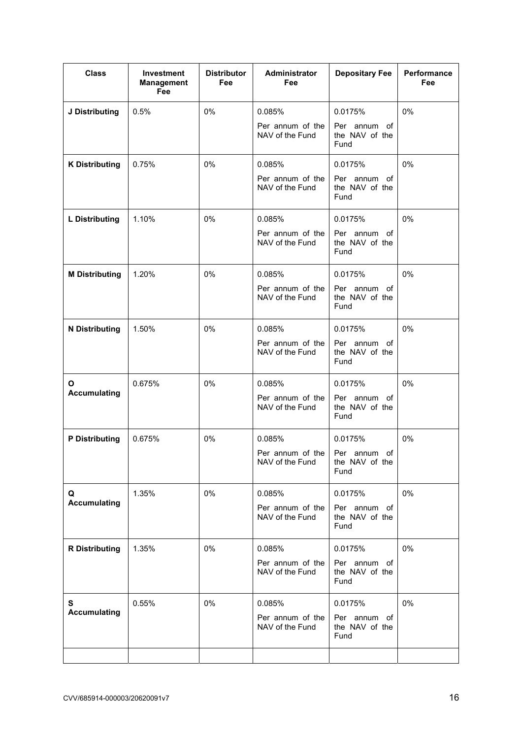| <b>Class</b>          | <b>Investment</b><br><b>Management</b><br>Fee | <b>Distributor</b><br>Fee | Administrator<br><b>Fee</b>         | <b>Depositary Fee</b>                  | Performance<br>Fee |
|-----------------------|-----------------------------------------------|---------------------------|-------------------------------------|----------------------------------------|--------------------|
| J Distributing        | 0.5%                                          | 0%                        | 0.085%                              | 0.0175%                                | 0%                 |
|                       |                                               |                           | Per annum of the<br>NAV of the Fund | Per annum of<br>the NAV of the<br>Fund |                    |
| <b>K Distributing</b> | 0.75%                                         | 0%                        | 0.085%                              | 0.0175%                                | 0%                 |
|                       |                                               |                           | Per annum of the<br>NAV of the Fund | Per annum of<br>the NAV of the<br>Fund |                    |
| <b>L</b> Distributing | 1.10%                                         | 0%                        | 0.085%                              | 0.0175%                                | $0\%$              |
|                       |                                               |                           | Per annum of the<br>NAV of the Fund | Per annum of<br>the NAV of the<br>Fund |                    |
| <b>M Distributing</b> | 1.20%                                         | 0%                        | 0.085%                              | 0.0175%                                | 0%                 |
|                       |                                               |                           | Per annum of the<br>NAV of the Fund | Per annum of<br>the NAV of the<br>Fund |                    |
| <b>N</b> Distributing | 1.50%                                         | 0%                        | 0.085%                              | 0.0175%                                | 0%                 |
|                       |                                               |                           | Per annum of the<br>NAV of the Fund | Per annum of<br>the NAV of the<br>Fund |                    |
| O                     | 0.675%                                        | 0%                        | 0.085%                              | 0.0175%                                | 0%                 |
| <b>Accumulating</b>   |                                               |                           | Per annum of the<br>NAV of the Fund | Per annum of<br>the NAV of the<br>Fund |                    |
| <b>P</b> Distributing | 0.675%                                        | 0%                        | 0.085%                              | 0.0175%                                | 0%                 |
|                       |                                               |                           | Per annum of the<br>NAV of the Fund | Per annum of<br>the NAV of the<br>Fund |                    |
| Q                     | 1.35%                                         | 0%                        | 0.085%                              | 0.0175%                                | 0%                 |
| <b>Accumulating</b>   |                                               |                           | Per annum of the<br>NAV of the Fund | Per annum of<br>the NAV of the<br>Fund |                    |
| <b>R</b> Distributing | 1.35%                                         | 0%                        | 0.085%                              | 0.0175%                                | 0%                 |
|                       |                                               |                           | Per annum of the<br>NAV of the Fund | Per annum of<br>the NAV of the<br>Fund |                    |
| S                     | 0.55%                                         | 0%                        | 0.085%                              | 0.0175%                                | 0%                 |
| <b>Accumulating</b>   |                                               |                           | Per annum of the<br>NAV of the Fund | Per annum of<br>the NAV of the<br>Fund |                    |
|                       |                                               |                           |                                     |                                        |                    |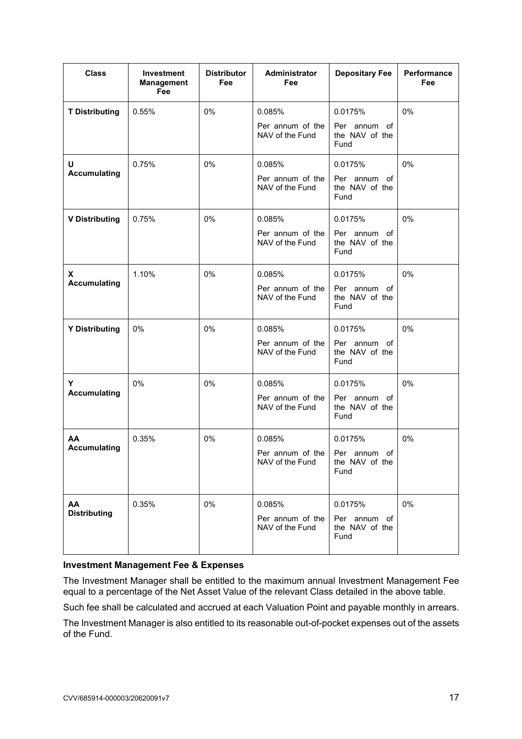| <b>Class</b>              | <b>Investment</b><br><b>Management</b><br>Fee | <b>Distributor</b><br>Fee | Administrator<br>Fee                          | <b>Depositary Fee</b>                             | Performance<br>Fee |
|---------------------------|-----------------------------------------------|---------------------------|-----------------------------------------------|---------------------------------------------------|--------------------|
| <b>T Distributing</b>     | 0.55%                                         | 0%                        | 0.085%<br>Per annum of the<br>NAV of the Fund | 0.0175%<br>Per annum of<br>the NAV of the<br>Fund | 0%                 |
| U<br><b>Accumulating</b>  | 0.75%                                         | 0%                        | 0.085%<br>Per annum of the<br>NAV of the Fund | 0.0175%<br>Per annum of<br>the NAV of the<br>Fund | 0%                 |
| <b>V Distributing</b>     | 0.75%                                         | 0%                        | 0.085%<br>Per annum of the<br>NAV of the Fund | 0.0175%<br>Per annum of<br>the NAV of the<br>Fund | 0%                 |
| X<br><b>Accumulating</b>  | 1.10%                                         | 0%                        | 0.085%<br>Per annum of the<br>NAV of the Fund | 0.0175%<br>Per annum of<br>the NAV of the<br>Fund | 0%                 |
| <b>Y Distributing</b>     | 0%                                            | 0%                        | 0.085%<br>Per annum of the<br>NAV of the Fund | 0.0175%<br>Per annum of<br>the NAV of the<br>Fund | 0%                 |
| Y<br><b>Accumulating</b>  | 0%                                            | 0%                        | 0.085%<br>Per annum of the<br>NAV of the Fund | 0.0175%<br>Per annum of<br>the NAV of the<br>Fund | $0\%$              |
| AA<br><b>Accumulating</b> | 0.35%                                         | 0%                        | 0.085%<br>Per annum of the<br>NAV of the Fund | 0.0175%<br>Per annum of<br>the NAV of the<br>Fund | 0%                 |
| AA<br><b>Distributing</b> | 0.35%                                         | 0%                        | 0.085%<br>Per annum of the<br>NAV of the Fund | 0.0175%<br>Per annum of<br>the NAV of the<br>Fund | 0%                 |

## **Investment Management Fee & Expenses**

The Investment Manager shall be entitled to the maximum annual Investment Management Fee equal to a percentage of the Net Asset Value of the relevant Class detailed in the above table.

Such fee shall be calculated and accrued at each Valuation Point and payable monthly in arrears.

The Investment Manager is also entitled to its reasonable out-of-pocket expenses out of the assets of the Fund.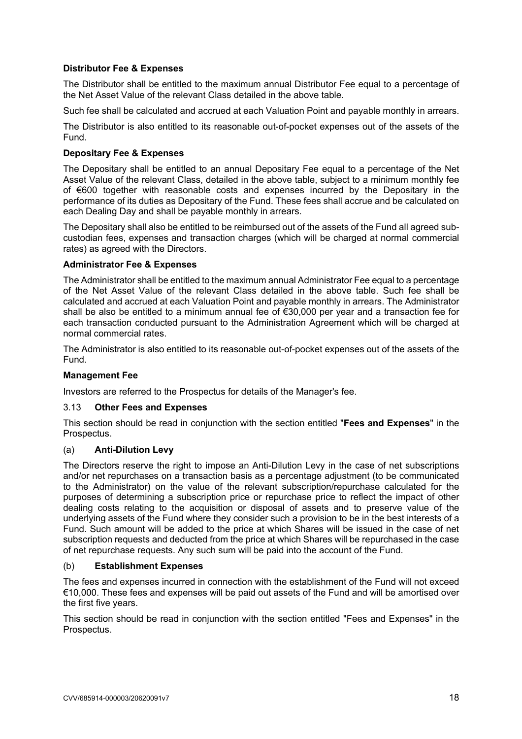### **Distributor Fee & Expenses**

The Distributor shall be entitled to the maximum annual Distributor Fee equal to a percentage of the Net Asset Value of the relevant Class detailed in the above table.

Such fee shall be calculated and accrued at each Valuation Point and payable monthly in arrears.

The Distributor is also entitled to its reasonable out-of-pocket expenses out of the assets of the Fund.

#### **Depositary Fee & Expenses**

The Depositary shall be entitled to an annual Depositary Fee equal to a percentage of the Net Asset Value of the relevant Class, detailed in the above table, subject to a minimum monthly fee of €600 together with reasonable costs and expenses incurred by the Depositary in the performance of its duties as Depositary of the Fund. These fees shall accrue and be calculated on each Dealing Day and shall be payable monthly in arrears.

The Depositary shall also be entitled to be reimbursed out of the assets of the Fund all agreed subcustodian fees, expenses and transaction charges (which will be charged at normal commercial rates) as agreed with the Directors.

#### **Administrator Fee & Expenses**

The Administrator shall be entitled to the maximum annual Administrator Fee equal to a percentage of the Net Asset Value of the relevant Class detailed in the above table. Such fee shall be calculated and accrued at each Valuation Point and payable monthly in arrears. The Administrator shall be also be entitled to a minimum annual fee of €30,000 per year and a transaction fee for each transaction conducted pursuant to the Administration Agreement which will be charged at normal commercial rates.

The Administrator is also entitled to its reasonable out-of-pocket expenses out of the assets of the Fund.

#### **Management Fee**

Investors are referred to the Prospectus for details of the Manager's fee.

#### 3.13 **Other Fees and Expenses**

This section should be read in conjunction with the section entitled "**Fees and Expenses**" in the Prospectus.

#### (a) **Anti-Dilution Levy**

The Directors reserve the right to impose an Anti-Dilution Levy in the case of net subscriptions and/or net repurchases on a transaction basis as a percentage adjustment (to be communicated to the Administrator) on the value of the relevant subscription/repurchase calculated for the purposes of determining a subscription price or repurchase price to reflect the impact of other dealing costs relating to the acquisition or disposal of assets and to preserve value of the underlying assets of the Fund where they consider such a provision to be in the best interests of a Fund. Such amount will be added to the price at which Shares will be issued in the case of net subscription requests and deducted from the price at which Shares will be repurchased in the case of net repurchase requests. Any such sum will be paid into the account of the Fund.

#### (b) **Establishment Expenses**

The fees and expenses incurred in connection with the establishment of the Fund will not exceed €10,000. These fees and expenses will be paid out assets of the Fund and will be amortised over the first five years.

This section should be read in conjunction with the section entitled "Fees and Expenses" in the Prospectus.